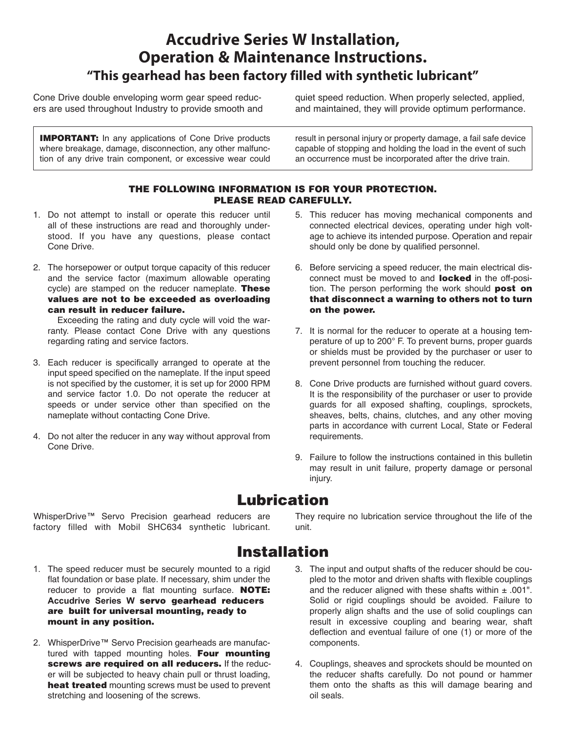## **Accudrive Series W Installation, Operation & Maintenance Instructions. "This gearhead has been factory filled with synthetic lubricant"**

Cone Drive double enveloping worm gear speed reducers are used throughout Industry to provide smooth and

**IMPORTANT:** In any applications of Cone Drive products where breakage, damage, disconnection, any other malfunction of any drive train component, or excessive wear could

quiet speed reduction. When properly selected, applied, and maintained, they will provide optimum performance.

result in personal injury or property damage, a fail safe device capable of stopping and holding the load in the event of such an occurrence must be incorporated after the drive train.

#### **THE FOLLOWING INFORMATION IS FOR YOUR PROTECTION. PLEASE READ CAREFULLY.**

- 1. Do not attempt to install or operate this reducer until all of these instructions are read and thoroughly understood. If you have any questions, please contact Cone Drive.
- 2. The horsepower or output torque capacity of this reducer and the service factor (maximum allowable operating cycle) are stamped on the reducer nameplate. **These values are not to be exceeded as overloading can result in reducer failure.**

Exceeding the rating and duty cycle will void the warranty. Please contact Cone Drive with any questions regarding rating and service factors.

- 3. Each reducer is specifically arranged to operate at the input speed specified on the nameplate. If the input speed is not specified by the customer, it is set up for 2000 RPM and service factor 1.0. Do not operate the reducer at speeds or under service other than specified on the nameplate without contacting Cone Drive.
- 4. Do not alter the reducer in any way without approval from Cone Drive.
- 5. This reducer has moving mechanical components and connected electrical devices, operating under high voltage to achieve its intended purpose. Operation and repair should only be done by qualified personnel.
- 6. Before servicing a speed reducer, the main electrical disconnect must be moved to and **locked** in the off-position. The person performing the work should **post on that disconnect a warning to others not to turn on the power.**
- 7. It is normal for the reducer to operate at a housing temperature of up to 200° F. To prevent burns, proper guards or shields must be provided by the purchaser or user to prevent personnel from touching the reducer.
- 8. Cone Drive products are furnished without guard covers. It is the responsibility of the purchaser or user to provide guards for all exposed shafting, couplings, sprockets, sheaves, belts, chains, clutches, and any other moving parts in accordance with current Local, State or Federal requirements.
- 9. Failure to follow the instructions contained in this bulletin may result in unit failure, property damage or personal injury.

#### **Lubrication**

WhisperDrive™ Servo Precision gearhead reducers are factory filled with Mobil SHC634 synthetic lubricant. They require no lubrication service throughout the life of the unit.

## **Installation**

- 1. The speed reducer must be securely mounted to a rigid flat foundation or base plate. If necessary, shim under the reducer to provide a flat mounting surface. **NOTE: Accudrive Series W servo gearhead reducers are built for universal mounting, ready to mount in any position.**
- 2. WhisperDrive™ Servo Precision gearheads are manufactured with tapped mounting holes. **Four mounting screws are required on all reducers.** If the reducer will be subjected to heavy chain pull or thrust loading, **heat treated** mounting screws must be used to prevent stretching and loosening of the screws.
- 3. The input and output shafts of the reducer should be coupled to the motor and driven shafts with flexible couplings and the reducer aligned with these shafts within  $\pm$  .001". Solid or rigid couplings should be avoided. Failure to properly align shafts and the use of solid couplings can result in excessive coupling and bearing wear, shaft deflection and eventual failure of one (1) or more of the components.
- 4. Couplings, sheaves and sprockets should be mounted on the reducer shafts carefully. Do not pound or hammer them onto the shafts as this will damage bearing and oil seals.